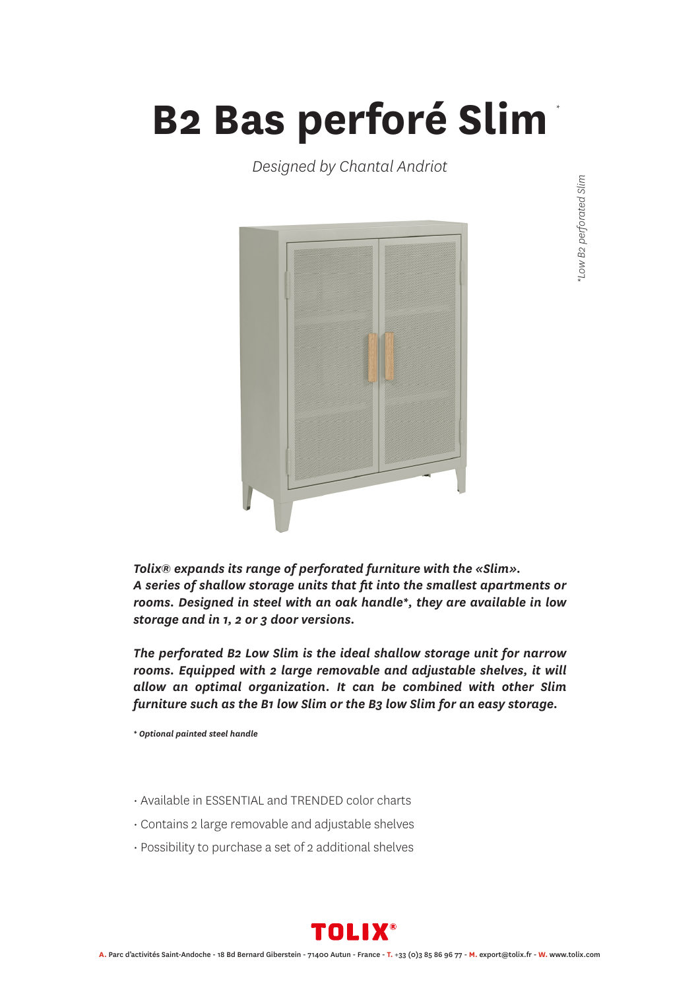## **B2 Bas perforé Slim** *\**

*Designed by Chantal Andriot*



*Tolix® expands its range of perforated furniture with the «Slim». A series of shallow storage units that fit into the smallest apartments or rooms. Designed in steel with an oak handle\*, they are available in low storage and in 1, 2 or 3 door versions.*

*The perforated B2 Low Slim is the ideal shallow storage unit for narrow rooms. Equipped with 2 large removable and adjustable shelves, it will allow an optimal organization. It can be combined with other Slim furniture such as the B1 low Slim or the B3 low Slim for an easy storage.*

*\* Optional painted steel handle*

- Available in ESSENTIAL and TRENDED color charts
- Contains 2 large removable and adjustable shelves
- Possibility to purchase a set of 2 additional shelves